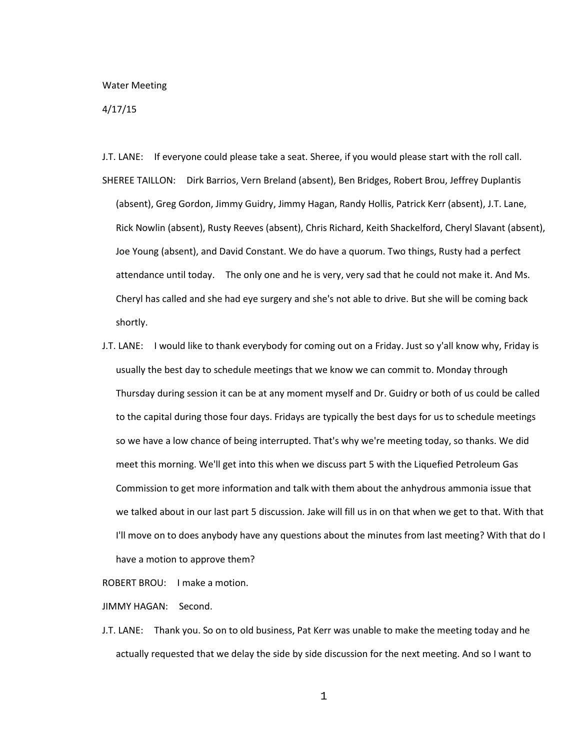## Water Meeting

## 4/17/15

- J.T. LANE: If everyone could please take a seat. Sheree, if you would please start with the roll call. SHEREE TAILLON: Dirk Barrios, Vern Breland (absent), Ben Bridges, Robert Brou, Jeffrey Duplantis (absent), Greg Gordon, Jimmy Guidry, Jimmy Hagan, Randy Hollis, Patrick Kerr (absent), J.T. Lane, Rick Nowlin (absent), Rusty Reeves (absent), Chris Richard, Keith Shackelford, Cheryl Slavant (absent), Joe Young (absent), and David Constant. We do have a quorum. Two things, Rusty had a perfect attendance until today. The only one and he is very, very sad that he could not make it. And Ms. Cheryl has called and she had eye surgery and she's not able to drive. But she will be coming back shortly.
- J.T. LANE: I would like to thank everybody for coming out on a Friday. Just so y'all know why, Friday is usually the best day to schedule meetings that we know we can commit to. Monday through Thursday during session it can be at any moment myself and Dr. Guidry or both of us could be called to the capital during those four days. Fridays are typically the best days for us to schedule meetings so we have a low chance of being interrupted. That's why we're meeting today, so thanks. We did meet this morning. We'll get into this when we discuss part 5 with the Liquefied Petroleum Gas Commission to get more information and talk with them about the anhydrous ammonia issue that we talked about in our last part 5 discussion. Jake will fill us in on that when we get to that. With that I'll move on to does anybody have any questions about the minutes from last meeting? With that do I have a motion to approve them?

ROBERT BROU: I make a motion.

JIMMY HAGAN: Second.

J.T. LANE: Thank you. So on to old business, Pat Kerr was unable to make the meeting today and he actually requested that we delay the side by side discussion for the next meeting. And so I want to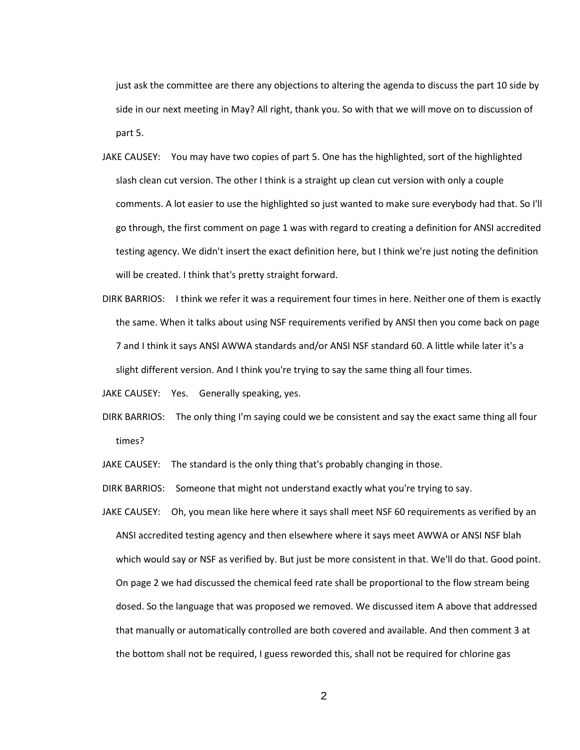just ask the committee are there any objections to altering the agenda to discuss the part 10 side by side in our next meeting in May? All right, thank you. So with that we will move on to discussion of part 5.

- JAKE CAUSEY: You may have two copies of part 5. One has the highlighted, sort of the highlighted slash clean cut version. The other I think is a straight up clean cut version with only a couple comments. A lot easier to use the highlighted so just wanted to make sure everybody had that. So I'll go through, the first comment on page 1 was with regard to creating a definition for ANSI accredited testing agency. We didn't insert the exact definition here, but I think we're just noting the definition will be created. I think that's pretty straight forward.
- DIRK BARRIOS: I think we refer it was a requirement four times in here. Neither one of them is exactly the same. When it talks about using NSF requirements verified by ANSI then you come back on page 7 and I think it says ANSI AWWA standards and/or ANSI NSF standard 60. A little while later it's a slight different version. And I think you're trying to say the same thing all four times.
- JAKE CAUSEY: Yes. Generally speaking, yes.
- DIRK BARRIOS: The only thing I'm saying could we be consistent and say the exact same thing all four times?

JAKE CAUSEY: The standard is the only thing that's probably changing in those.

DIRK BARRIOS: Someone that might not understand exactly what you're trying to say.

JAKE CAUSEY: Oh, you mean like here where it says shall meet NSF 60 requirements as verified by an ANSI accredited testing agency and then elsewhere where it says meet AWWA or ANSI NSF blah which would say or NSF as verified by. But just be more consistent in that. We'll do that. Good point. On page 2 we had discussed the chemical feed rate shall be proportional to the flow stream being dosed. So the language that was proposed we removed. We discussed item A above that addressed that manually or automatically controlled are both covered and available. And then comment 3 at the bottom shall not be required, I guess reworded this, shall not be required for chlorine gas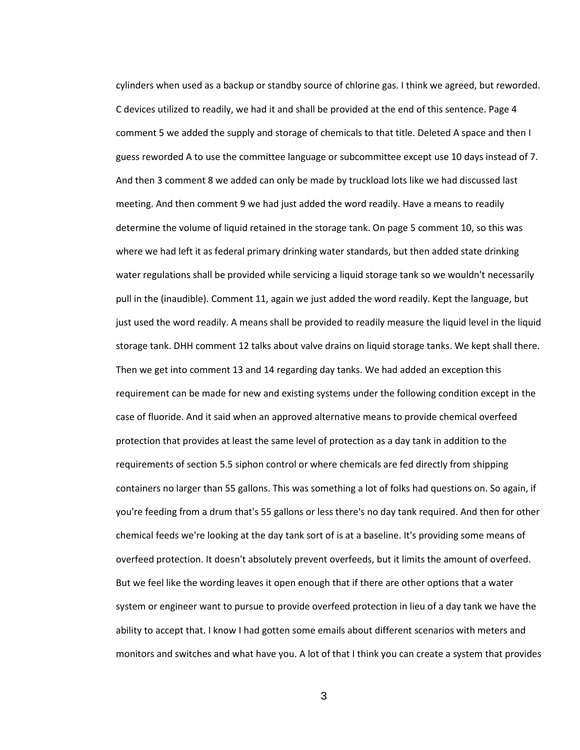cylinders when used as a backup or standby source of chlorine gas. I think we agreed, but reworded. C devices utilized to readily, we had it and shall be provided at the end of this sentence. Page 4 comment 5 we added the supply and storage of chemicals to that title. Deleted A space and then I guess reworded A to use the committee language or subcommittee except use 10 days instead of 7. And then 3 comment 8 we added can only be made by truckload lots like we had discussed last meeting. And then comment 9 we had just added the word readily. Have a means to readily determine the volume of liquid retained in the storage tank. On page 5 comment 10, so this was where we had left it as federal primary drinking water standards, but then added state drinking water regulations shall be provided while servicing a liquid storage tank so we wouldn't necessarily pull in the (inaudible). Comment 11, again we just added the word readily. Kept the language, but just used the word readily. A means shall be provided to readily measure the liquid level in the liquid storage tank. DHH comment 12 talks about valve drains on liquid storage tanks. We kept shall there. Then we get into comment 13 and 14 regarding day tanks. We had added an exception this requirement can be made for new and existing systems under the following condition except in the case of fluoride. And it said when an approved alternative means to provide chemical overfeed protection that provides at least the same level of protection as a day tank in addition to the requirements of section 5.5 siphon control or where chemicals are fed directly from shipping containers no larger than 55 gallons. This was something a lot of folks had questions on. So again, if you're feeding from a drum that's 55 gallons or less there's no day tank required. And then for other chemical feeds we're looking at the day tank sort of is at a baseline. It's providing some means of overfeed protection. It doesn't absolutely prevent overfeeds, but it limits the amount of overfeed. But we feel like the wording leaves it open enough that if there are other options that a water system or engineer want to pursue to provide overfeed protection in lieu of a day tank we have the ability to accept that. I know I had gotten some emails about different scenarios with meters and monitors and switches and what have you. A lot of that I think you can create a system that provides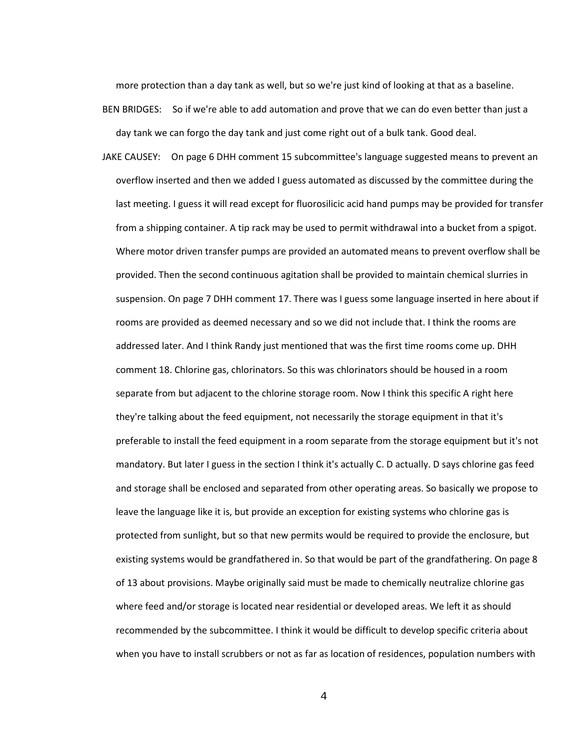more protection than a day tank as well, but so we're just kind of looking at that as a baseline.

- BEN BRIDGES: So if we're able to add automation and prove that we can do even better than just a day tank we can forgo the day tank and just come right out of a bulk tank. Good deal.
- JAKE CAUSEY: On page 6 DHH comment 15 subcommittee's language suggested means to prevent an overflow inserted and then we added I guess automated as discussed by the committee during the last meeting. I guess it will read except for fluorosilicic acid hand pumps may be provided for transfer from a shipping container. A tip rack may be used to permit withdrawal into a bucket from a spigot. Where motor driven transfer pumps are provided an automated means to prevent overflow shall be provided. Then the second continuous agitation shall be provided to maintain chemical slurries in suspension. On page 7 DHH comment 17. There was I guess some language inserted in here about if rooms are provided as deemed necessary and so we did not include that. I think the rooms are addressed later. And I think Randy just mentioned that was the first time rooms come up. DHH comment 18. Chlorine gas, chlorinators. So this was chlorinators should be housed in a room separate from but adjacent to the chlorine storage room. Now I think this specific A right here they're talking about the feed equipment, not necessarily the storage equipment in that it's preferable to install the feed equipment in a room separate from the storage equipment but it's not mandatory. But later I guess in the section I think it's actually C. D actually. D says chlorine gas feed and storage shall be enclosed and separated from other operating areas. So basically we propose to leave the language like it is, but provide an exception for existing systems who chlorine gas is protected from sunlight, but so that new permits would be required to provide the enclosure, but existing systems would be grandfathered in. So that would be part of the grandfathering. On page 8 of 13 about provisions. Maybe originally said must be made to chemically neutralize chlorine gas where feed and/or storage is located near residential or developed areas. We left it as should recommended by the subcommittee. I think it would be difficult to develop specific criteria about when you have to install scrubbers or not as far as location of residences, population numbers with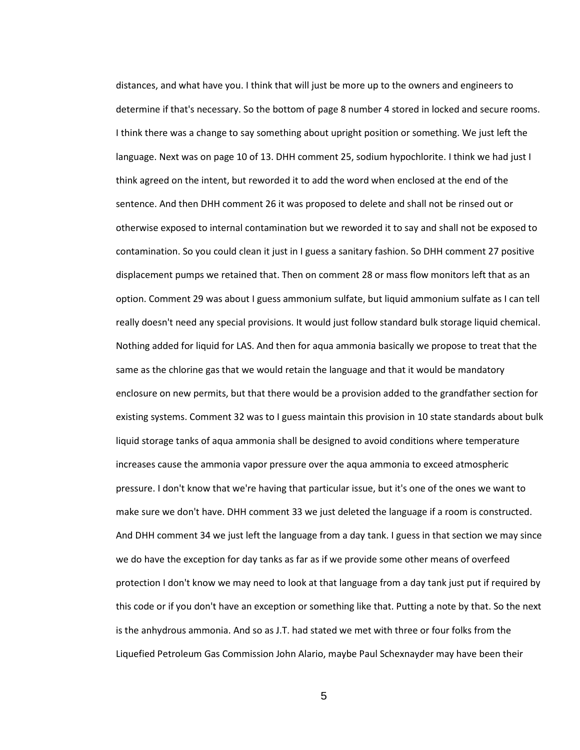distances, and what have you. I think that will just be more up to the owners and engineers to determine if that's necessary. So the bottom of page 8 number 4 stored in locked and secure rooms. I think there was a change to say something about upright position or something. We just left the language. Next was on page 10 of 13. DHH comment 25, sodium hypochlorite. I think we had just I think agreed on the intent, but reworded it to add the word when enclosed at the end of the sentence. And then DHH comment 26 it was proposed to delete and shall not be rinsed out or otherwise exposed to internal contamination but we reworded it to say and shall not be exposed to contamination. So you could clean it just in I guess a sanitary fashion. So DHH comment 27 positive displacement pumps we retained that. Then on comment 28 or mass flow monitors left that as an option. Comment 29 was about I guess ammonium sulfate, but liquid ammonium sulfate as I can tell really doesn't need any special provisions. It would just follow standard bulk storage liquid chemical. Nothing added for liquid for LAS. And then for aqua ammonia basically we propose to treat that the same as the chlorine gas that we would retain the language and that it would be mandatory enclosure on new permits, but that there would be a provision added to the grandfather section for existing systems. Comment 32 was to I guess maintain this provision in 10 state standards about bulk liquid storage tanks of aqua ammonia shall be designed to avoid conditions where temperature increases cause the ammonia vapor pressure over the aqua ammonia to exceed atmospheric pressure. I don't know that we're having that particular issue, but it's one of the ones we want to make sure we don't have. DHH comment 33 we just deleted the language if a room is constructed. And DHH comment 34 we just left the language from a day tank. I guess in that section we may since we do have the exception for day tanks as far as if we provide some other means of overfeed protection I don't know we may need to look at that language from a day tank just put if required by this code or if you don't have an exception or something like that. Putting a note by that. So the next is the anhydrous ammonia. And so as J.T. had stated we met with three or four folks from the Liquefied Petroleum Gas Commission John Alario, maybe Paul Schexnayder may have been their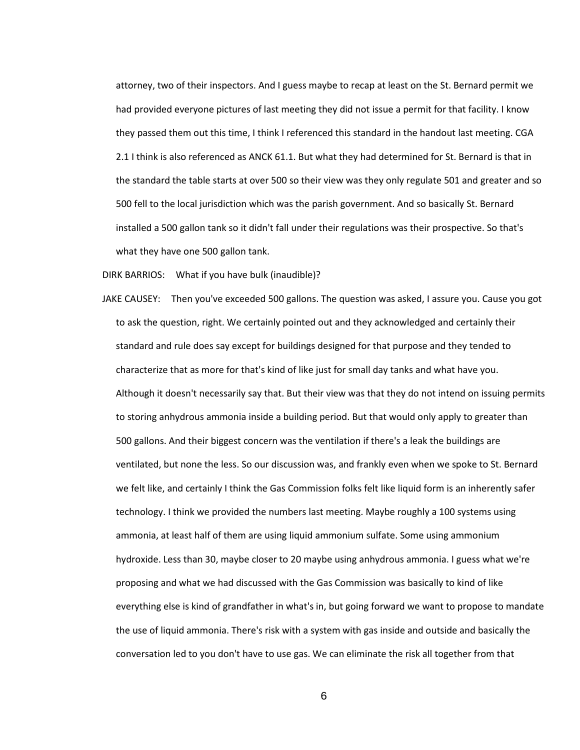attorney, two of their inspectors. And I guess maybe to recap at least on the St. Bernard permit we had provided everyone pictures of last meeting they did not issue a permit for that facility. I know they passed them out this time, I think I referenced this standard in the handout last meeting. CGA 2.1 I think is also referenced as ANCK 61.1. But what they had determined for St. Bernard is that in the standard the table starts at over 500 so their view was they only regulate 501 and greater and so 500 fell to the local jurisdiction which was the parish government. And so basically St. Bernard installed a 500 gallon tank so it didn't fall under their regulations was their prospective. So that's what they have one 500 gallon tank.

DIRK BARRIOS: What if you have bulk (inaudible)?

JAKE CAUSEY: Then you've exceeded 500 gallons. The question was asked, I assure you. Cause you got to ask the question, right. We certainly pointed out and they acknowledged and certainly their standard and rule does say except for buildings designed for that purpose and they tended to characterize that as more for that's kind of like just for small day tanks and what have you. Although it doesn't necessarily say that. But their view was that they do not intend on issuing permits to storing anhydrous ammonia inside a building period. But that would only apply to greater than 500 gallons. And their biggest concern was the ventilation if there's a leak the buildings are ventilated, but none the less. So our discussion was, and frankly even when we spoke to St. Bernard we felt like, and certainly I think the Gas Commission folks felt like liquid form is an inherently safer technology. I think we provided the numbers last meeting. Maybe roughly a 100 systems using ammonia, at least half of them are using liquid ammonium sulfate. Some using ammonium hydroxide. Less than 30, maybe closer to 20 maybe using anhydrous ammonia. I guess what we're proposing and what we had discussed with the Gas Commission was basically to kind of like everything else is kind of grandfather in what's in, but going forward we want to propose to mandate the use of liquid ammonia. There's risk with a system with gas inside and outside and basically the conversation led to you don't have to use gas. We can eliminate the risk all together from that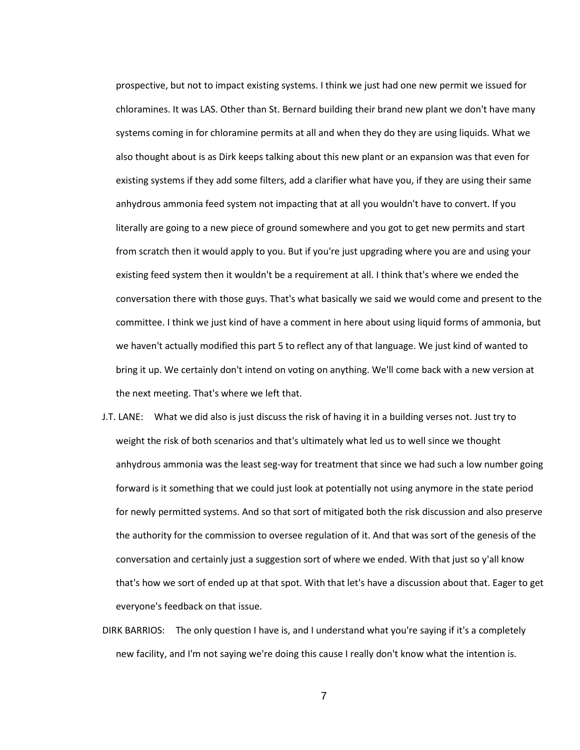prospective, but not to impact existing systems. I think we just had one new permit we issued for chloramines. It was LAS. Other than St. Bernard building their brand new plant we don't have many systems coming in for chloramine permits at all and when they do they are using liquids. What we also thought about is as Dirk keeps talking about this new plant or an expansion was that even for existing systems if they add some filters, add a clarifier what have you, if they are using their same anhydrous ammonia feed system not impacting that at all you wouldn't have to convert. If you literally are going to a new piece of ground somewhere and you got to get new permits and start from scratch then it would apply to you. But if you're just upgrading where you are and using your existing feed system then it wouldn't be a requirement at all. I think that's where we ended the conversation there with those guys. That's what basically we said we would come and present to the committee. I think we just kind of have a comment in here about using liquid forms of ammonia, but we haven't actually modified this part 5 to reflect any of that language. We just kind of wanted to bring it up. We certainly don't intend on voting on anything. We'll come back with a new version at the next meeting. That's where we left that.

- J.T. LANE: What we did also is just discuss the risk of having it in a building verses not. Just try to weight the risk of both scenarios and that's ultimately what led us to well since we thought anhydrous ammonia was the least seg-way for treatment that since we had such a low number going forward is it something that we could just look at potentially not using anymore in the state period for newly permitted systems. And so that sort of mitigated both the risk discussion and also preserve the authority for the commission to oversee regulation of it. And that was sort of the genesis of the conversation and certainly just a suggestion sort of where we ended. With that just so y'all know that's how we sort of ended up at that spot. With that let's have a discussion about that. Eager to get everyone's feedback on that issue.
- DIRK BARRIOS: The only question I have is, and I understand what you're saying if it's a completely new facility, and I'm not saying we're doing this cause I really don't know what the intention is.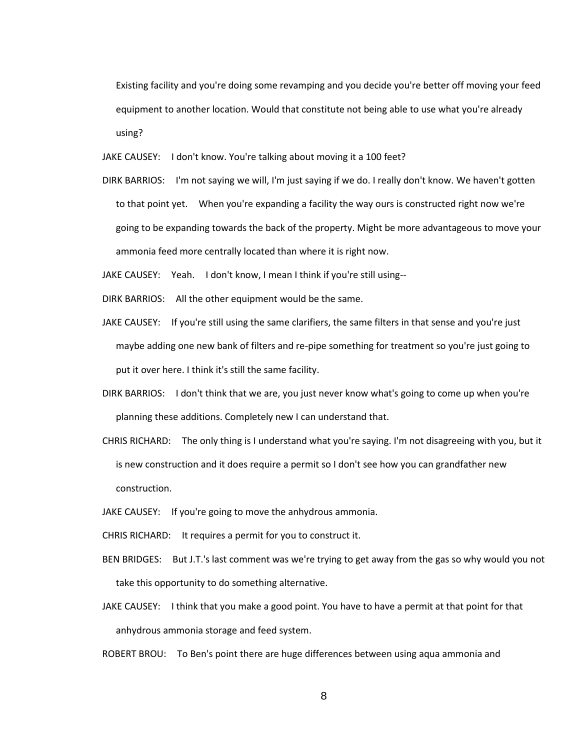Existing facility and you're doing some revamping and you decide you're better off moving your feed equipment to another location. Would that constitute not being able to use what you're already using?

JAKE CAUSEY: I don't know. You're talking about moving it a 100 feet?

DIRK BARRIOS: I'm not saying we will, I'm just saying if we do. I really don't know. We haven't gotten to that point yet. When you're expanding a facility the way ours is constructed right now we're going to be expanding towards the back of the property. Might be more advantageous to move your ammonia feed more centrally located than where it is right now.

JAKE CAUSEY: Yeah. I don't know, I mean I think if you're still using--

- DIRK BARRIOS: All the other equipment would be the same.
- JAKE CAUSEY: If you're still using the same clarifiers, the same filters in that sense and you're just maybe adding one new bank of filters and re-pipe something for treatment so you're just going to put it over here. I think it's still the same facility.
- DIRK BARRIOS: I don't think that we are, you just never know what's going to come up when you're planning these additions. Completely new I can understand that.
- CHRIS RICHARD: The only thing is I understand what you're saying. I'm not disagreeing with you, but it is new construction and it does require a permit so I don't see how you can grandfather new construction.
- JAKE CAUSEY: If you're going to move the anhydrous ammonia.

CHRIS RICHARD: It requires a permit for you to construct it.

- BEN BRIDGES: But J.T.'s last comment was we're trying to get away from the gas so why would you not take this opportunity to do something alternative.
- JAKE CAUSEY: I think that you make a good point. You have to have a permit at that point for that anhydrous ammonia storage and feed system.

ROBERT BROU: To Ben's point there are huge differences between using aqua ammonia and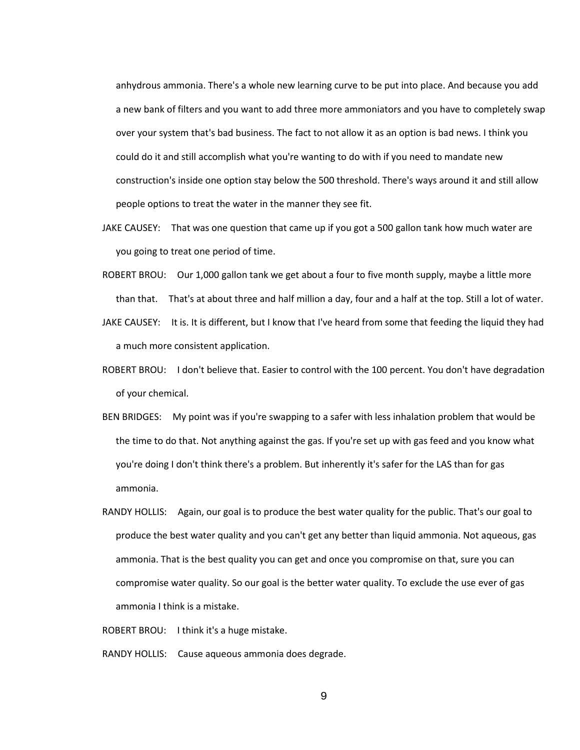anhydrous ammonia. There's a whole new learning curve to be put into place. And because you add a new bank of filters and you want to add three more ammoniators and you have to completely swap over your system that's bad business. The fact to not allow it as an option is bad news. I think you could do it and still accomplish what you're wanting to do with if you need to mandate new construction's inside one option stay below the 500 threshold. There's ways around it and still allow people options to treat the water in the manner they see fit.

- JAKE CAUSEY: That was one question that came up if you got a 500 gallon tank how much water are you going to treat one period of time.
- ROBERT BROU: Our 1,000 gallon tank we get about a four to five month supply, maybe a little more than that. That's at about three and half million a day, four and a half at the top. Still a lot of water.
- JAKE CAUSEY: It is. It is different, but I know that I've heard from some that feeding the liquid they had a much more consistent application.
- ROBERT BROU: I don't believe that. Easier to control with the 100 percent. You don't have degradation of your chemical.
- BEN BRIDGES: My point was if you're swapping to a safer with less inhalation problem that would be the time to do that. Not anything against the gas. If you're set up with gas feed and you know what you're doing I don't think there's a problem. But inherently it's safer for the LAS than for gas ammonia.
- RANDY HOLLIS: Again, our goal is to produce the best water quality for the public. That's our goal to produce the best water quality and you can't get any better than liquid ammonia. Not aqueous, gas ammonia. That is the best quality you can get and once you compromise on that, sure you can compromise water quality. So our goal is the better water quality. To exclude the use ever of gas ammonia I think is a mistake.
- ROBERT BROU: I think it's a huge mistake.

RANDY HOLLIS: Cause aqueous ammonia does degrade.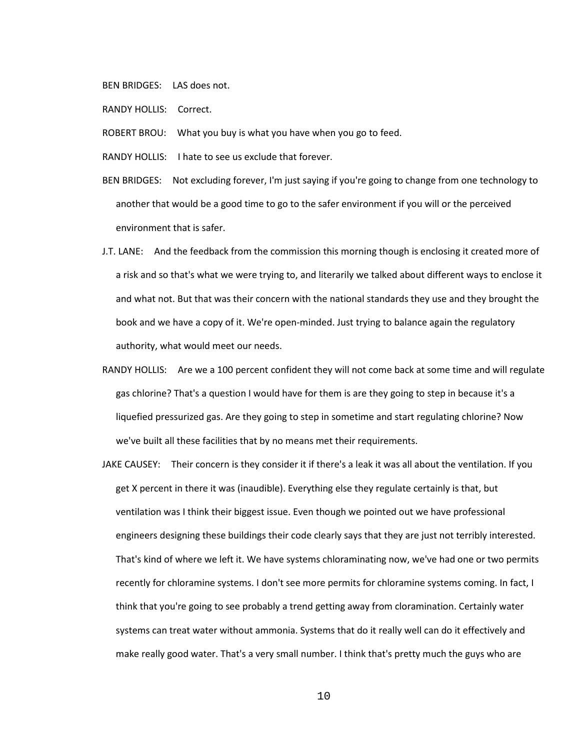BEN BRIDGES: LAS does not.

- RANDY HOLLIS: Correct.
- ROBERT BROU: What you buy is what you have when you go to feed.
- RANDY HOLLIS: I hate to see us exclude that forever.
- BEN BRIDGES: Not excluding forever, I'm just saying if you're going to change from one technology to another that would be a good time to go to the safer environment if you will or the perceived environment that is safer.
- J.T. LANE: And the feedback from the commission this morning though is enclosing it created more of a risk and so that's what we were trying to, and literarily we talked about different ways to enclose it and what not. But that was their concern with the national standards they use and they brought the book and we have a copy of it. We're open-minded. Just trying to balance again the regulatory authority, what would meet our needs.
- RANDY HOLLIS: Are we a 100 percent confident they will not come back at some time and will regulate gas chlorine? That's a question I would have for them is are they going to step in because it's a liquefied pressurized gas. Are they going to step in sometime and start regulating chlorine? Now we've built all these facilities that by no means met their requirements.
- JAKE CAUSEY: Their concern is they consider it if there's a leak it was all about the ventilation. If you get X percent in there it was (inaudible). Everything else they regulate certainly is that, but ventilation was I think their biggest issue. Even though we pointed out we have professional engineers designing these buildings their code clearly says that they are just not terribly interested. That's kind of where we left it. We have systems chloraminating now, we've had one or two permits recently for chloramine systems. I don't see more permits for chloramine systems coming. In fact, I think that you're going to see probably a trend getting away from cloramination. Certainly water systems can treat water without ammonia. Systems that do it really well can do it effectively and make really good water. That's a very small number. I think that's pretty much the guys who are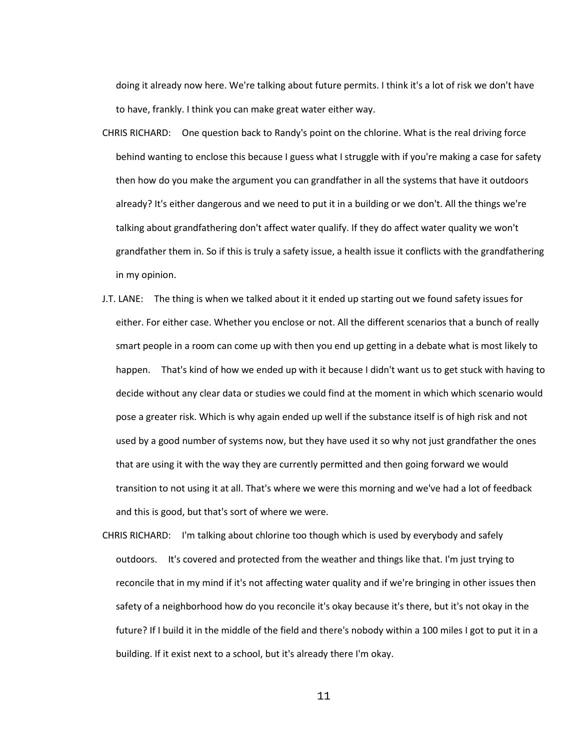doing it already now here. We're talking about future permits. I think it's a lot of risk we don't have to have, frankly. I think you can make great water either way.

- CHRIS RICHARD: One question back to Randy's point on the chlorine. What is the real driving force behind wanting to enclose this because I guess what I struggle with if you're making a case for safety then how do you make the argument you can grandfather in all the systems that have it outdoors already? It's either dangerous and we need to put it in a building or we don't. All the things we're talking about grandfathering don't affect water qualify. If they do affect water quality we won't grandfather them in. So if this is truly a safety issue, a health issue it conflicts with the grandfathering in my opinion.
- J.T. LANE: The thing is when we talked about it it ended up starting out we found safety issues for either. For either case. Whether you enclose or not. All the different scenarios that a bunch of really smart people in a room can come up with then you end up getting in a debate what is most likely to happen. That's kind of how we ended up with it because I didn't want us to get stuck with having to decide without any clear data or studies we could find at the moment in which which scenario would pose a greater risk. Which is why again ended up well if the substance itself is of high risk and not used by a good number of systems now, but they have used it so why not just grandfather the ones that are using it with the way they are currently permitted and then going forward we would transition to not using it at all. That's where we were this morning and we've had a lot of feedback and this is good, but that's sort of where we were.
- CHRIS RICHARD: I'm talking about chlorine too though which is used by everybody and safely outdoors. It's covered and protected from the weather and things like that. I'm just trying to reconcile that in my mind if it's not affecting water quality and if we're bringing in other issues then safety of a neighborhood how do you reconcile it's okay because it's there, but it's not okay in the future? If I build it in the middle of the field and there's nobody within a 100 miles I got to put it in a building. If it exist next to a school, but it's already there I'm okay.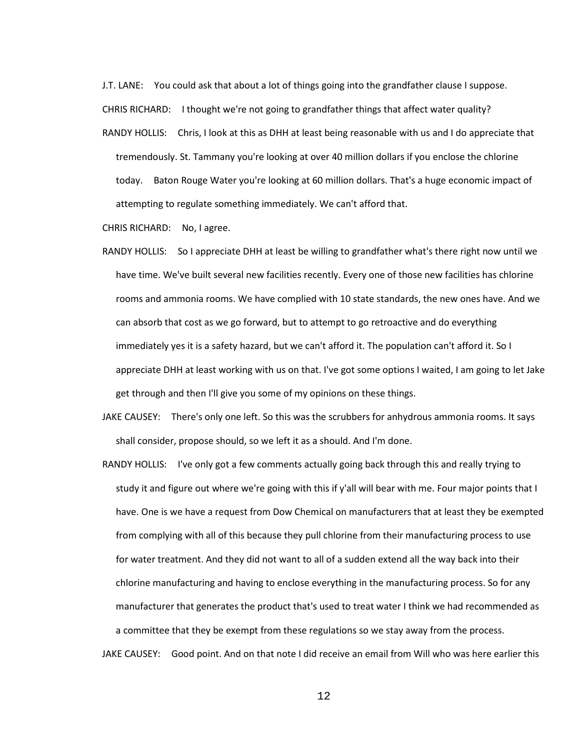J.T. LANE: You could ask that about a lot of things going into the grandfather clause I suppose.

CHRIS RICHARD: I thought we're not going to grandfather things that affect water quality?

RANDY HOLLIS: Chris, I look at this as DHH at least being reasonable with us and I do appreciate that tremendously. St. Tammany you're looking at over 40 million dollars if you enclose the chlorine today. Baton Rouge Water you're looking at 60 million dollars. That's a huge economic impact of attempting to regulate something immediately. We can't afford that.

CHRIS RICHARD: No, I agree.

- RANDY HOLLIS: So I appreciate DHH at least be willing to grandfather what's there right now until we have time. We've built several new facilities recently. Every one of those new facilities has chlorine rooms and ammonia rooms. We have complied with 10 state standards, the new ones have. And we can absorb that cost as we go forward, but to attempt to go retroactive and do everything immediately yes it is a safety hazard, but we can't afford it. The population can't afford it. So I appreciate DHH at least working with us on that. I've got some options I waited, I am going to let Jake get through and then I'll give you some of my opinions on these things.
- JAKE CAUSEY: There's only one left. So this was the scrubbers for anhydrous ammonia rooms. It says shall consider, propose should, so we left it as a should. And I'm done.
- RANDY HOLLIS: I've only got a few comments actually going back through this and really trying to study it and figure out where we're going with this if y'all will bear with me. Four major points that I have. One is we have a request from Dow Chemical on manufacturers that at least they be exempted from complying with all of this because they pull chlorine from their manufacturing process to use for water treatment. And they did not want to all of a sudden extend all the way back into their chlorine manufacturing and having to enclose everything in the manufacturing process. So for any manufacturer that generates the product that's used to treat water I think we had recommended as a committee that they be exempt from these regulations so we stay away from the process.

JAKE CAUSEY: Good point. And on that note I did receive an email from Will who was here earlier this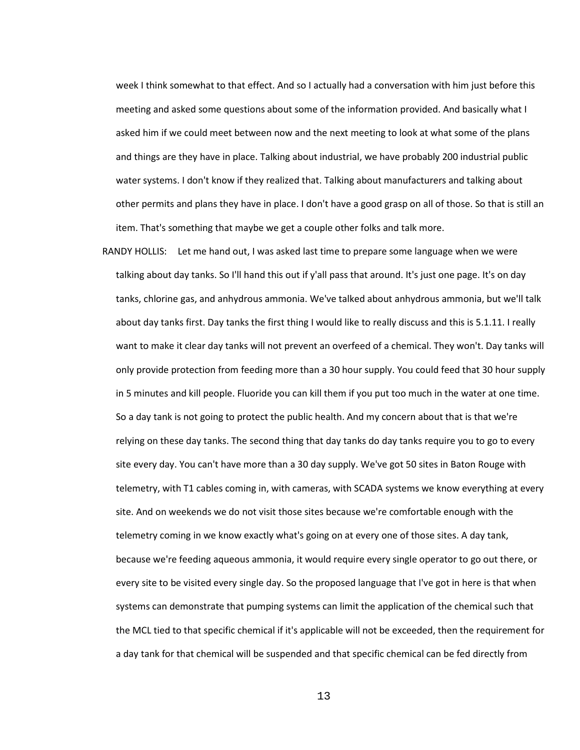week I think somewhat to that effect. And so I actually had a conversation with him just before this meeting and asked some questions about some of the information provided. And basically what I asked him if we could meet between now and the next meeting to look at what some of the plans and things are they have in place. Talking about industrial, we have probably 200 industrial public water systems. I don't know if they realized that. Talking about manufacturers and talking about other permits and plans they have in place. I don't have a good grasp on all of those. So that is still an item. That's something that maybe we get a couple other folks and talk more.

RANDY HOLLIS: Let me hand out, I was asked last time to prepare some language when we were talking about day tanks. So I'll hand this out if y'all pass that around. It's just one page. It's on day tanks, chlorine gas, and anhydrous ammonia. We've talked about anhydrous ammonia, but we'll talk about day tanks first. Day tanks the first thing I would like to really discuss and this is 5.1.11. I really want to make it clear day tanks will not prevent an overfeed of a chemical. They won't. Day tanks will only provide protection from feeding more than a 30 hour supply. You could feed that 30 hour supply in 5 minutes and kill people. Fluoride you can kill them if you put too much in the water at one time. So a day tank is not going to protect the public health. And my concern about that is that we're relying on these day tanks. The second thing that day tanks do day tanks require you to go to every site every day. You can't have more than a 30 day supply. We've got 50 sites in Baton Rouge with telemetry, with T1 cables coming in, with cameras, with SCADA systems we know everything at every site. And on weekends we do not visit those sites because we're comfortable enough with the telemetry coming in we know exactly what's going on at every one of those sites. A day tank, because we're feeding aqueous ammonia, it would require every single operator to go out there, or every site to be visited every single day. So the proposed language that I've got in here is that when systems can demonstrate that pumping systems can limit the application of the chemical such that the MCL tied to that specific chemical if it's applicable will not be exceeded, then the requirement for a day tank for that chemical will be suspended and that specific chemical can be fed directly from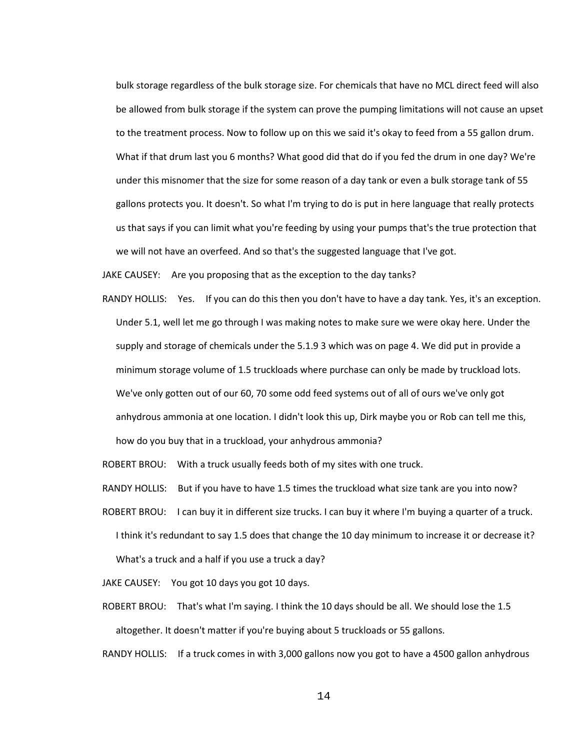bulk storage regardless of the bulk storage size. For chemicals that have no MCL direct feed will also be allowed from bulk storage if the system can prove the pumping limitations will not cause an upset to the treatment process. Now to follow up on this we said it's okay to feed from a 55 gallon drum. What if that drum last you 6 months? What good did that do if you fed the drum in one day? We're under this misnomer that the size for some reason of a day tank or even a bulk storage tank of 55 gallons protects you. It doesn't. So what I'm trying to do is put in here language that really protects us that says if you can limit what you're feeding by using your pumps that's the true protection that we will not have an overfeed. And so that's the suggested language that I've got.

JAKE CAUSEY: Are you proposing that as the exception to the day tanks?

RANDY HOLLIS: Yes. If you can do this then you don't have to have a day tank. Yes, it's an exception. Under 5.1, well let me go through I was making notes to make sure we were okay here. Under the supply and storage of chemicals under the 5.1.9 3 which was on page 4. We did put in provide a minimum storage volume of 1.5 truckloads where purchase can only be made by truckload lots. We've only gotten out of our 60, 70 some odd feed systems out of all of ours we've only got anhydrous ammonia at one location. I didn't look this up, Dirk maybe you or Rob can tell me this, how do you buy that in a truckload, your anhydrous ammonia?

ROBERT BROU: With a truck usually feeds both of my sites with one truck.

RANDY HOLLIS: But if you have to have 1.5 times the truckload what size tank are you into now?

ROBERT BROU: I can buy it in different size trucks. I can buy it where I'm buying a quarter of a truck. I think it's redundant to say 1.5 does that change the 10 day minimum to increase it or decrease it? What's a truck and a half if you use a truck a day?

JAKE CAUSEY: You got 10 days you got 10 days.

ROBERT BROU: That's what I'm saying. I think the 10 days should be all. We should lose the 1.5 altogether. It doesn't matter if you're buying about 5 truckloads or 55 gallons.

RANDY HOLLIS: If a truck comes in with 3,000 gallons now you got to have a 4500 gallon anhydrous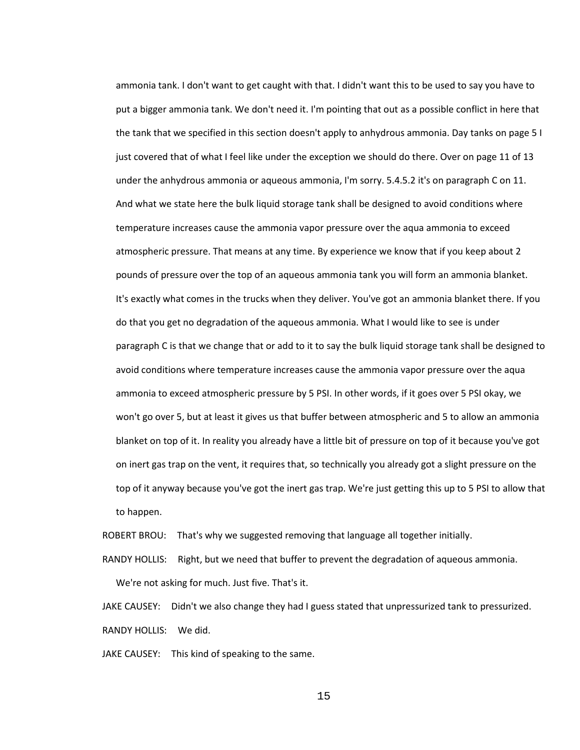ammonia tank. I don't want to get caught with that. I didn't want this to be used to say you have to put a bigger ammonia tank. We don't need it. I'm pointing that out as a possible conflict in here that the tank that we specified in this section doesn't apply to anhydrous ammonia. Day tanks on page 5 I just covered that of what I feel like under the exception we should do there. Over on page 11 of 13 under the anhydrous ammonia or aqueous ammonia, I'm sorry. 5.4.5.2 it's on paragraph C on 11. And what we state here the bulk liquid storage tank shall be designed to avoid conditions where temperature increases cause the ammonia vapor pressure over the aqua ammonia to exceed atmospheric pressure. That means at any time. By experience we know that if you keep about 2 pounds of pressure over the top of an aqueous ammonia tank you will form an ammonia blanket. It's exactly what comes in the trucks when they deliver. You've got an ammonia blanket there. If you do that you get no degradation of the aqueous ammonia. What I would like to see is under paragraph C is that we change that or add to it to say the bulk liquid storage tank shall be designed to avoid conditions where temperature increases cause the ammonia vapor pressure over the aqua ammonia to exceed atmospheric pressure by 5 PSI. In other words, if it goes over 5 PSI okay, we won't go over 5, but at least it gives us that buffer between atmospheric and 5 to allow an ammonia blanket on top of it. In reality you already have a little bit of pressure on top of it because you've got on inert gas trap on the vent, it requires that, so technically you already got a slight pressure on the top of it anyway because you've got the inert gas trap. We're just getting this up to 5 PSI to allow that to happen.

ROBERT BROU: That's why we suggested removing that language all together initially.

RANDY HOLLIS: Right, but we need that buffer to prevent the degradation of aqueous ammonia. We're not asking for much. Just five. That's it.

JAKE CAUSEY: Didn't we also change they had I guess stated that unpressurized tank to pressurized. RANDY HOLLIS: We did.

JAKE CAUSEY: This kind of speaking to the same.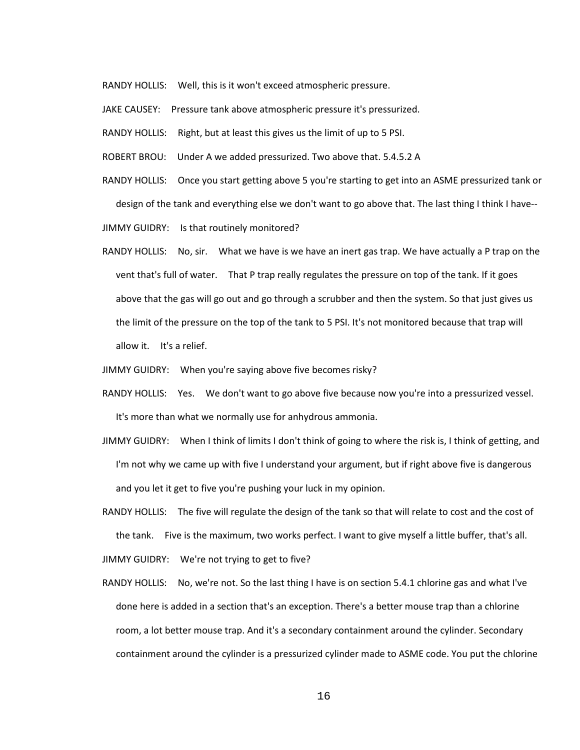RANDY HOLLIS: Well, this is it won't exceed atmospheric pressure.

JAKE CAUSEY: Pressure tank above atmospheric pressure it's pressurized.

RANDY HOLLIS: Right, but at least this gives us the limit of up to 5 PSI.

ROBERT BROU: Under A we added pressurized. Two above that. 5.4.5.2 A

RANDY HOLLIS: Once you start getting above 5 you're starting to get into an ASME pressurized tank or design of the tank and everything else we don't want to go above that. The last thing I think I have--

JIMMY GUIDRY: Is that routinely monitored?

RANDY HOLLIS: No, sir. What we have is we have an inert gas trap. We have actually a P trap on the vent that's full of water. That P trap really regulates the pressure on top of the tank. If it goes above that the gas will go out and go through a scrubber and then the system. So that just gives us the limit of the pressure on the top of the tank to 5 PSI. It's not monitored because that trap will allow it. It's a relief.

JIMMY GUIDRY: When you're saying above five becomes risky?

- RANDY HOLLIS: Yes. We don't want to go above five because now you're into a pressurized vessel. It's more than what we normally use for anhydrous ammonia.
- JIMMY GUIDRY: When I think of limits I don't think of going to where the risk is, I think of getting, and I'm not why we came up with five I understand your argument, but if right above five is dangerous and you let it get to five you're pushing your luck in my opinion.

RANDY HOLLIS: The five will regulate the design of the tank so that will relate to cost and the cost of the tank. Five is the maximum, two works perfect. I want to give myself a little buffer, that's all. JIMMY GUIDRY: We're not trying to get to five?

RANDY HOLLIS: No, we're not. So the last thing I have is on section 5.4.1 chlorine gas and what I've done here is added in a section that's an exception. There's a better mouse trap than a chlorine room, a lot better mouse trap. And it's a secondary containment around the cylinder. Secondary containment around the cylinder is a pressurized cylinder made to ASME code. You put the chlorine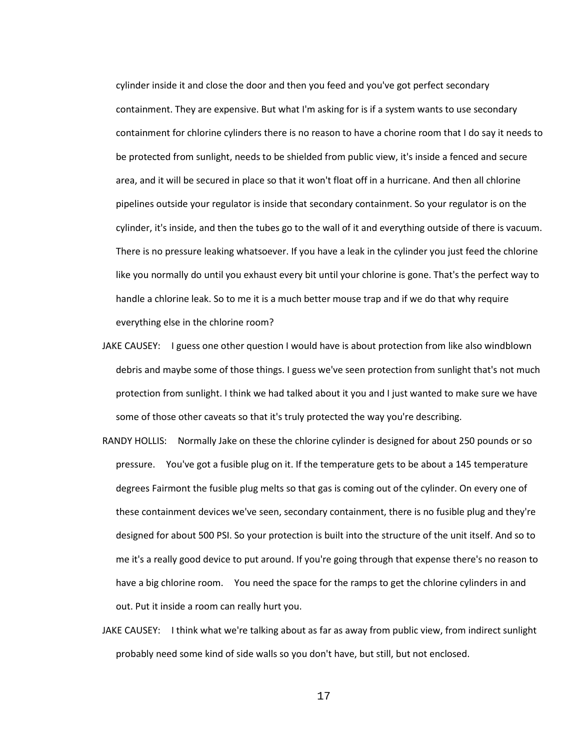cylinder inside it and close the door and then you feed and you've got perfect secondary containment. They are expensive. But what I'm asking for is if a system wants to use secondary containment for chlorine cylinders there is no reason to have a chorine room that I do say it needs to be protected from sunlight, needs to be shielded from public view, it's inside a fenced and secure area, and it will be secured in place so that it won't float off in a hurricane. And then all chlorine pipelines outside your regulator is inside that secondary containment. So your regulator is on the cylinder, it's inside, and then the tubes go to the wall of it and everything outside of there is vacuum. There is no pressure leaking whatsoever. If you have a leak in the cylinder you just feed the chlorine like you normally do until you exhaust every bit until your chlorine is gone. That's the perfect way to handle a chlorine leak. So to me it is a much better mouse trap and if we do that why require everything else in the chlorine room?

- JAKE CAUSEY: I guess one other question I would have is about protection from like also windblown debris and maybe some of those things. I guess we've seen protection from sunlight that's not much protection from sunlight. I think we had talked about it you and I just wanted to make sure we have some of those other caveats so that it's truly protected the way you're describing.
- RANDY HOLLIS: Normally Jake on these the chlorine cylinder is designed for about 250 pounds or so pressure. You've got a fusible plug on it. If the temperature gets to be about a 145 temperature degrees Fairmont the fusible plug melts so that gas is coming out of the cylinder. On every one of these containment devices we've seen, secondary containment, there is no fusible plug and they're designed for about 500 PSI. So your protection is built into the structure of the unit itself. And so to me it's a really good device to put around. If you're going through that expense there's no reason to have a big chlorine room. You need the space for the ramps to get the chlorine cylinders in and out. Put it inside a room can really hurt you.
- JAKE CAUSEY: I think what we're talking about as far as away from public view, from indirect sunlight probably need some kind of side walls so you don't have, but still, but not enclosed.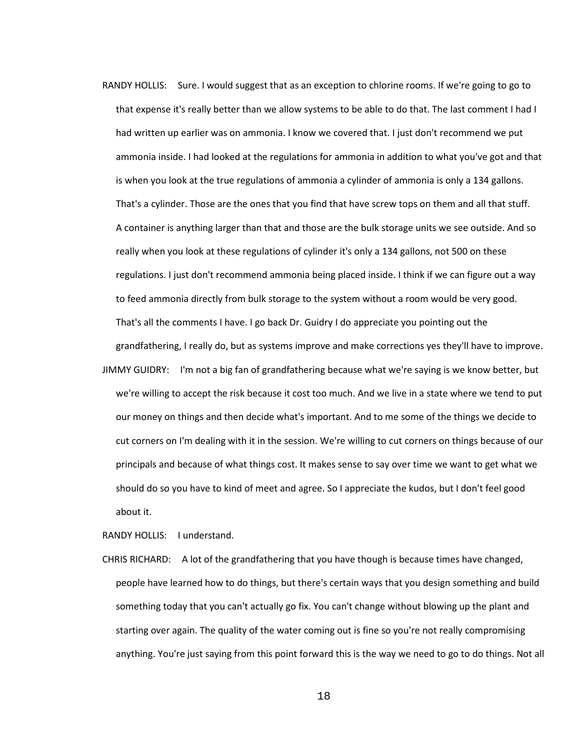- RANDY HOLLIS: Sure. I would suggest that as an exception to chlorine rooms. If we're going to go to that expense it's really better than we allow systems to be able to do that. The last comment I had I had written up earlier was on ammonia. I know we covered that. I just don't recommend we put ammonia inside. I had looked at the regulations for ammonia in addition to what you've got and that is when you look at the true regulations of ammonia a cylinder of ammonia is only a 134 gallons. That's a cylinder. Those are the ones that you find that have screw tops on them and all that stuff. A container is anything larger than that and those are the bulk storage units we see outside. And so really when you look at these regulations of cylinder it's only a 134 gallons, not 500 on these regulations. I just don't recommend ammonia being placed inside. I think if we can figure out a way to feed ammonia directly from bulk storage to the system without a room would be very good. That's all the comments I have. I go back Dr. Guidry I do appreciate you pointing out the grandfathering, I really do, but as systems improve and make corrections yes they'll have to improve.
- JIMMY GUIDRY: I'm not a big fan of grandfathering because what we're saying is we know better, but we're willing to accept the risk because it cost too much. And we live in a state where we tend to put our money on things and then decide what's important. And to me some of the things we decide to cut corners on I'm dealing with it in the session. We're willing to cut corners on things because of our principals and because of what things cost. It makes sense to say over time we want to get what we should do so you have to kind of meet and agree. So I appreciate the kudos, but I don't feel good about it.

RANDY HOLLIS: I understand.

CHRIS RICHARD: A lot of the grandfathering that you have though is because times have changed, people have learned how to do things, but there's certain ways that you design something and build something today that you can't actually go fix. You can't change without blowing up the plant and starting over again. The quality of the water coming out is fine so you're not really compromising anything. You're just saying from this point forward this is the way we need to go to do things. Not all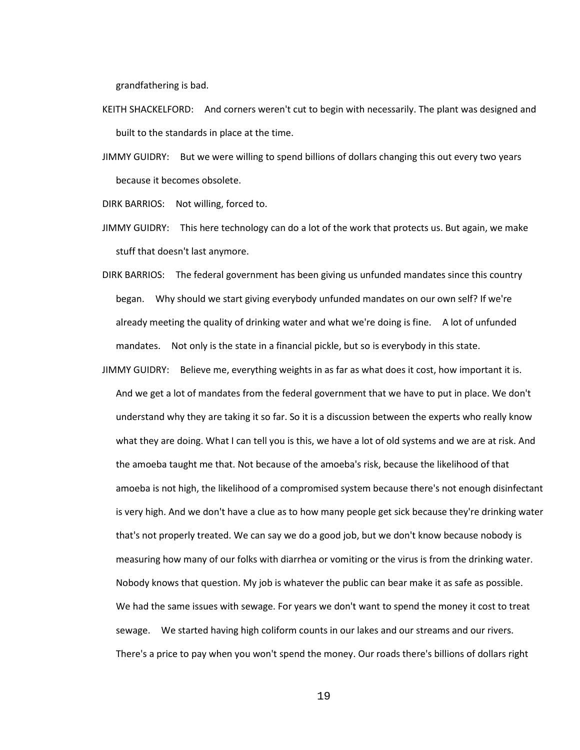grandfathering is bad.

- KEITH SHACKELFORD: And corners weren't cut to begin with necessarily. The plant was designed and built to the standards in place at the time.
- JIMMY GUIDRY: But we were willing to spend billions of dollars changing this out every two years because it becomes obsolete.

DIRK BARRIOS: Not willing, forced to.

- JIMMY GUIDRY: This here technology can do a lot of the work that protects us. But again, we make stuff that doesn't last anymore.
- DIRK BARRIOS: The federal government has been giving us unfunded mandates since this country began. Why should we start giving everybody unfunded mandates on our own self? If we're already meeting the quality of drinking water and what we're doing is fine. A lot of unfunded mandates. Not only is the state in a financial pickle, but so is everybody in this state.
- JIMMY GUIDRY: Believe me, everything weights in as far as what does it cost, how important it is. And we get a lot of mandates from the federal government that we have to put in place. We don't understand why they are taking it so far. So it is a discussion between the experts who really know what they are doing. What I can tell you is this, we have a lot of old systems and we are at risk. And the amoeba taught me that. Not because of the amoeba's risk, because the likelihood of that amoeba is not high, the likelihood of a compromised system because there's not enough disinfectant is very high. And we don't have a clue as to how many people get sick because they're drinking water that's not properly treated. We can say we do a good job, but we don't know because nobody is measuring how many of our folks with diarrhea or vomiting or the virus is from the drinking water. Nobody knows that question. My job is whatever the public can bear make it as safe as possible. We had the same issues with sewage. For years we don't want to spend the money it cost to treat sewage. We started having high coliform counts in our lakes and our streams and our rivers. There's a price to pay when you won't spend the money. Our roads there's billions of dollars right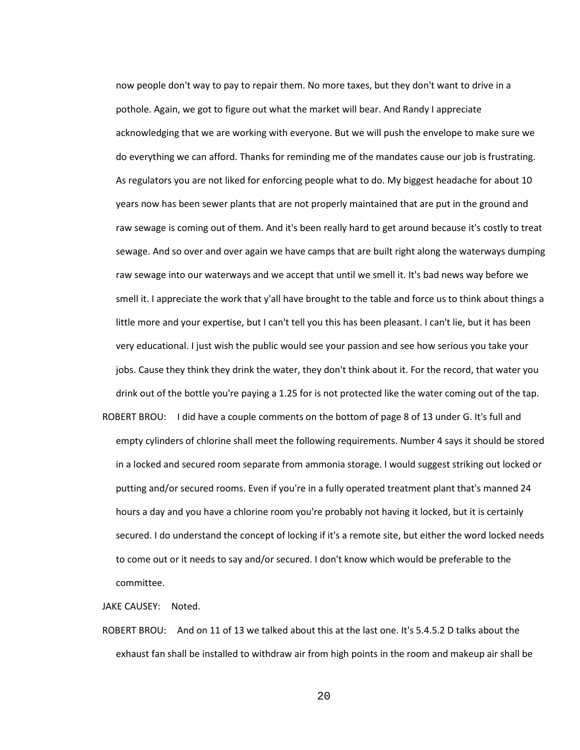now people don't way to pay to repair them. No more taxes, but they don't want to drive in a pothole. Again, we got to figure out what the market will bear. And Randy I appreciate acknowledging that we are working with everyone. But we will push the envelope to make sure we do everything we can afford. Thanks for reminding me of the mandates cause our job is frustrating. As regulators you are not liked for enforcing people what to do. My biggest headache for about 10 years now has been sewer plants that are not properly maintained that are put in the ground and raw sewage is coming out of them. And it's been really hard to get around because it's costly to treat sewage. And so over and over again we have camps that are built right along the waterways dumping raw sewage into our waterways and we accept that until we smell it. It's bad news way before we smell it. I appreciate the work that y'all have brought to the table and force us to think about things a little more and your expertise, but I can't tell you this has been pleasant. I can't lie, but it has been very educational. I just wish the public would see your passion and see how serious you take your jobs. Cause they think they drink the water, they don't think about it. For the record, that water you drink out of the bottle you're paying a 1.25 for is not protected like the water coming out of the tap. ROBERT BROU: I did have a couple comments on the bottom of page 8 of 13 under G. It's full and

empty cylinders of chlorine shall meet the following requirements. Number 4 says it should be stored in a locked and secured room separate from ammonia storage. I would suggest striking out locked or putting and/or secured rooms. Even if you're in a fully operated treatment plant that's manned 24 hours a day and you have a chlorine room you're probably not having it locked, but it is certainly secured. I do understand the concept of locking if it's a remote site, but either the word locked needs to come out or it needs to say and/or secured. I don't know which would be preferable to the committee.

JAKE CAUSEY: Noted.

ROBERT BROU: And on 11 of 13 we talked about this at the last one. It's 5.4.5.2 D talks about the exhaust fan shall be installed to withdraw air from high points in the room and makeup air shall be